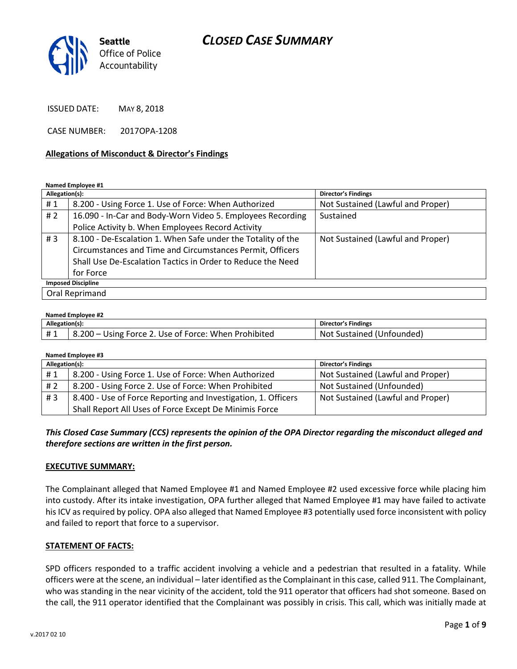

ISSUED DATE: MAY 8, 2018

CASE NUMBER: 2017OPA-1208

#### **Allegations of Misconduct & Director's Findings**

#### **Named Employee #1**

| Allegation(s):            |                                                              | Director's Findings               |  |
|---------------------------|--------------------------------------------------------------|-----------------------------------|--|
| #1                        | 8.200 - Using Force 1. Use of Force: When Authorized         | Not Sustained (Lawful and Proper) |  |
| #2                        | 16.090 - In-Car and Body-Worn Video 5. Employees Recording   | Sustained                         |  |
|                           | Police Activity b. When Employees Record Activity            |                                   |  |
| #3                        | 8.100 - De-Escalation 1. When Safe under the Totality of the | Not Sustained (Lawful and Proper) |  |
|                           | Circumstances and Time and Circumstances Permit, Officers    |                                   |  |
|                           | Shall Use De-Escalation Tactics in Order to Reduce the Need  |                                   |  |
|                           | for Force                                                    |                                   |  |
| <b>Imposed Discipline</b> |                                                              |                                   |  |
| Oral Reprimand            |                                                              |                                   |  |

#### **Named Employee #2**

| Allegation(s): |                                                      | Director's Findings       |
|----------------|------------------------------------------------------|---------------------------|
|                | 8.200 – Using Force 2. Use of Force: When Prohibited | Not Sustained (Unfounded) |

**Named Employee #3**

| Allegation(s): |                                                               | <b>Director's Findings</b>        |
|----------------|---------------------------------------------------------------|-----------------------------------|
| #1             | 8.200 - Using Force 1. Use of Force: When Authorized          | Not Sustained (Lawful and Proper) |
| H 2            | 8.200 - Using Force 2. Use of Force: When Prohibited          | Not Sustained (Unfounded)         |
| #3             | 8.400 - Use of Force Reporting and Investigation, 1. Officers | Not Sustained (Lawful and Proper) |
|                | Shall Report All Uses of Force Except De Minimis Force        |                                   |

### *This Closed Case Summary (CCS) represents the opinion of the OPA Director regarding the misconduct alleged and therefore sections are written in the first person.*

#### **EXECUTIVE SUMMARY:**

The Complainant alleged that Named Employee #1 and Named Employee #2 used excessive force while placing him into custody. After its intake investigation, OPA further alleged that Named Employee #1 may have failed to activate his ICV as required by policy. OPA also alleged that Named Employee #3 potentially used force inconsistent with policy and failed to report that force to a supervisor.

#### **STATEMENT OF FACTS:**

SPD officers responded to a traffic accident involving a vehicle and a pedestrian that resulted in a fatality. While officers were at the scene, an individual – later identified as the Complainant in this case, called 911. The Complainant, who was standing in the near vicinity of the accident, told the 911 operator that officers had shot someone. Based on the call, the 911 operator identified that the Complainant was possibly in crisis. This call, which was initially made at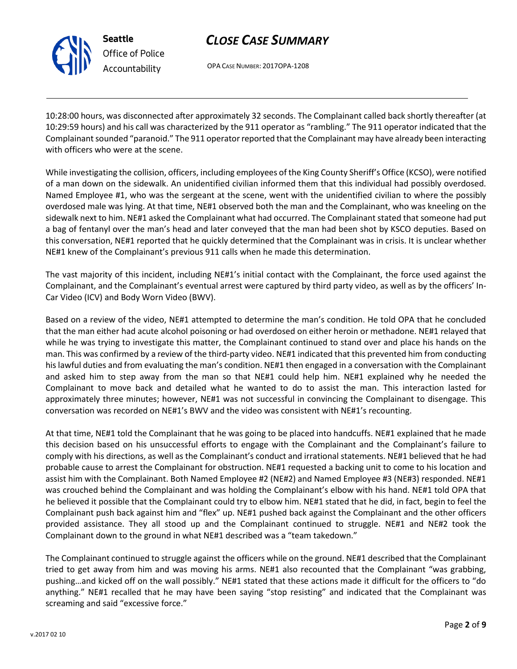

**Seattle**

*Accountability*

OPA CASE NUMBER: 2017OPA-1208

10:28:00 hours, was disconnected after approximately 32 seconds. The Complainant called back shortly thereafter (at 10:29:59 hours) and his call was characterized by the 911 operator as "rambling." The 911 operator indicated that the Complainant sounded "paranoid." The 911 operator reported that the Complainant may have already been interacting with officers who were at the scene.

While investigating the collision, officers, including employees of the King County Sheriff's Office (KCSO), were notified of a man down on the sidewalk. An unidentified civilian informed them that this individual had possibly overdosed. Named Employee #1, who was the sergeant at the scene, went with the unidentified civilian to where the possibly overdosed male was lying. At that time, NE#1 observed both the man and the Complainant, who was kneeling on the sidewalk next to him. NE#1 asked the Complainant what had occurred. The Complainant stated that someone had put a bag of fentanyl over the man's head and later conveyed that the man had been shot by KSCO deputies. Based on this conversation, NE#1 reported that he quickly determined that the Complainant was in crisis. It is unclear whether NE#1 knew of the Complainant's previous 911 calls when he made this determination.

The vast majority of this incident, including NE#1's initial contact with the Complainant, the force used against the Complainant, and the Complainant's eventual arrest were captured by third party video, as well as by the officers' In-Car Video (ICV) and Body Worn Video (BWV).

Based on a review of the video, NE#1 attempted to determine the man's condition. He told OPA that he concluded that the man either had acute alcohol poisoning or had overdosed on either heroin or methadone. NE#1 relayed that while he was trying to investigate this matter, the Complainant continued to stand over and place his hands on the man. This was confirmed by a review of the third-party video. NE#1 indicated that this prevented him from conducting his lawful duties and from evaluating the man's condition. NE#1 then engaged in a conversation with the Complainant and asked him to step away from the man so that NE#1 could help him. NE#1 explained why he needed the Complainant to move back and detailed what he wanted to do to assist the man. This interaction lasted for approximately three minutes; however, NE#1 was not successful in convincing the Complainant to disengage. This conversation was recorded on NE#1's BWV and the video was consistent with NE#1's recounting.

At that time, NE#1 told the Complainant that he was going to be placed into handcuffs. NE#1 explained that he made this decision based on his unsuccessful efforts to engage with the Complainant and the Complainant's failure to comply with his directions, as well as the Complainant's conduct and irrational statements. NE#1 believed that he had probable cause to arrest the Complainant for obstruction. NE#1 requested a backing unit to come to his location and assist him with the Complainant. Both Named Employee #2 (NE#2) and Named Employee #3 (NE#3) responded. NE#1 was crouched behind the Complainant and was holding the Complainant's elbow with his hand. NE#1 told OPA that he believed it possible that the Complainant could try to elbow him. NE#1 stated that he did, in fact, begin to feel the Complainant push back against him and "flex" up. NE#1 pushed back against the Complainant and the other officers provided assistance. They all stood up and the Complainant continued to struggle. NE#1 and NE#2 took the Complainant down to the ground in what NE#1 described was a "team takedown."

The Complainant continued to struggle against the officers while on the ground. NE#1 described that the Complainant tried to get away from him and was moving his arms. NE#1 also recounted that the Complainant "was grabbing, pushing…and kicked off on the wall possibly." NE#1 stated that these actions made it difficult for the officers to "do anything." NE#1 recalled that he may have been saying "stop resisting" and indicated that the Complainant was screaming and said "excessive force."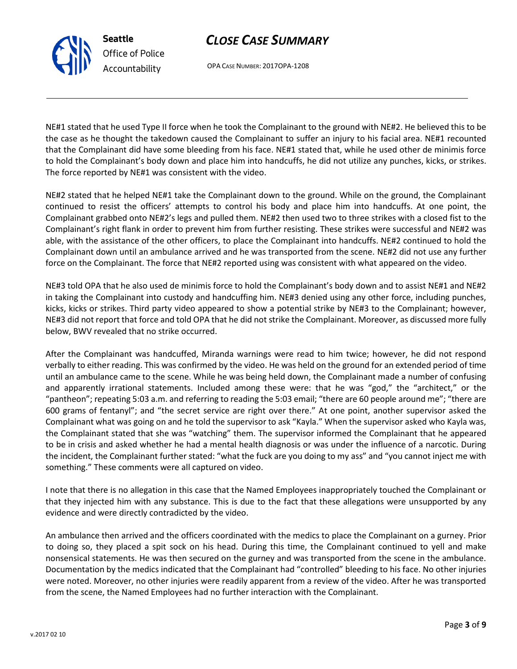v.2017 02 10

# *CLOSE CASE SUMMARY*

OPA CASE NUMBER: 2017OPA-1208

**Seattle**

*Office of Police Accountability*

NE#1 stated that he used Type II force when he took the Complainant to the ground with NE#2. He believed this to be the case as he thought the takedown caused the Complainant to suffer an injury to his facial area. NE#1 recounted that the Complainant did have some bleeding from his face. NE#1 stated that, while he used other de minimis force to hold the Complainant's body down and place him into handcuffs, he did not utilize any punches, kicks, or strikes. The force reported by NE#1 was consistent with the video.

NE#2 stated that he helped NE#1 take the Complainant down to the ground. While on the ground, the Complainant continued to resist the officers' attempts to control his body and place him into handcuffs. At one point, the Complainant grabbed onto NE#2's legs and pulled them. NE#2 then used two to three strikes with a closed fist to the Complainant's right flank in order to prevent him from further resisting. These strikes were successful and NE#2 was able, with the assistance of the other officers, to place the Complainant into handcuffs. NE#2 continued to hold the Complainant down until an ambulance arrived and he was transported from the scene. NE#2 did not use any further force on the Complainant. The force that NE#2 reported using was consistent with what appeared on the video.

NE#3 told OPA that he also used de minimis force to hold the Complainant's body down and to assist NE#1 and NE#2 in taking the Complainant into custody and handcuffing him. NE#3 denied using any other force, including punches, kicks, kicks or strikes. Third party video appeared to show a potential strike by NE#3 to the Complainant; however, NE#3 did not report that force and told OPA that he did not strike the Complainant. Moreover, as discussed more fully below, BWV revealed that no strike occurred.

After the Complainant was handcuffed, Miranda warnings were read to him twice; however, he did not respond verbally to either reading. This was confirmed by the video. He was held on the ground for an extended period of time until an ambulance came to the scene. While he was being held down, the Complainant made a number of confusing and apparently irrational statements. Included among these were: that he was "god," the "architect," or the "pantheon"; repeating 5:03 a.m. and referring to reading the 5:03 email; "there are 60 people around me"; "there are 600 grams of fentanyl"; and "the secret service are right over there." At one point, another supervisor asked the Complainant what was going on and he told the supervisor to ask "Kayla." When the supervisor asked who Kayla was, the Complainant stated that she was "watching" them. The supervisor informed the Complainant that he appeared to be in crisis and asked whether he had a mental health diagnosis or was under the influence of a narcotic. During the incident, the Complainant further stated: "what the fuck are you doing to my ass" and "you cannot inject me with something." These comments were all captured on video.

I note that there is no allegation in this case that the Named Employees inappropriately touched the Complainant or that they injected him with any substance. This is due to the fact that these allegations were unsupported by any evidence and were directly contradicted by the video.

An ambulance then arrived and the officers coordinated with the medics to place the Complainant on a gurney. Prior to doing so, they placed a spit sock on his head. During this time, the Complainant continued to yell and make nonsensical statements. He was then secured on the gurney and was transported from the scene in the ambulance. Documentation by the medics indicated that the Complainant had "controlled" bleeding to his face. No other injuries were noted. Moreover, no other injuries were readily apparent from a review of the video. After he was transported from the scene, the Named Employees had no further interaction with the Complainant.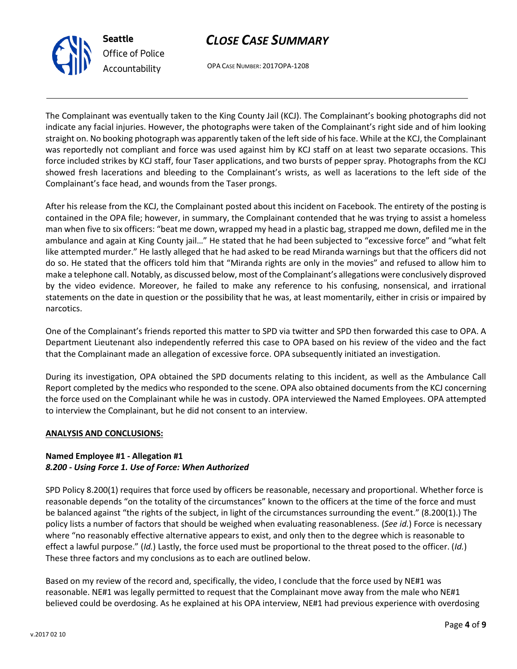



OPA CASE NUMBER: 2017OPA-1208

The Complainant was eventually taken to the King County Jail (KCJ). The Complainant's booking photographs did not indicate any facial injuries. However, the photographs were taken of the Complainant's right side and of him looking straight on. No booking photograph was apparently taken of the left side of his face. While at the KCJ, the Complainant was reportedly not compliant and force was used against him by KCJ staff on at least two separate occasions. This force included strikes by KCJ staff, four Taser applications, and two bursts of pepper spray. Photographs from the KCJ showed fresh lacerations and bleeding to the Complainant's wrists, as well as lacerations to the left side of the Complainant's face head, and wounds from the Taser prongs.

After his release from the KCJ, the Complainant posted about this incident on Facebook. The entirety of the posting is contained in the OPA file; however, in summary, the Complainant contended that he was trying to assist a homeless man when five to six officers: "beat me down, wrapped my head in a plastic bag, strapped me down, defiled me in the ambulance and again at King County jail…" He stated that he had been subjected to "excessive force" and "what felt like attempted murder." He lastly alleged that he had asked to be read Miranda warnings but that the officers did not do so. He stated that the officers told him that "Miranda rights are only in the movies" and refused to allow him to make a telephone call. Notably, as discussed below, most of the Complainant's allegations were conclusively disproved by the video evidence. Moreover, he failed to make any reference to his confusing, nonsensical, and irrational statements on the date in question or the possibility that he was, at least momentarily, either in crisis or impaired by narcotics.

One of the Complainant's friends reported this matter to SPD via twitter and SPD then forwarded this case to OPA. A Department Lieutenant also independently referred this case to OPA based on his review of the video and the fact that the Complainant made an allegation of excessive force. OPA subsequently initiated an investigation.

During its investigation, OPA obtained the SPD documents relating to this incident, as well as the Ambulance Call Report completed by the medics who responded to the scene. OPA also obtained documents from the KCJ concerning the force used on the Complainant while he was in custody. OPA interviewed the Named Employees. OPA attempted to interview the Complainant, but he did not consent to an interview.

### **ANALYSIS AND CONCLUSIONS:**

### **Named Employee #1 - Allegation #1** *8.200 - Using Force 1. Use of Force: When Authorized*

SPD Policy 8.200(1) requires that force used by officers be reasonable, necessary and proportional. Whether force is reasonable depends "on the totality of the circumstances" known to the officers at the time of the force and must be balanced against "the rights of the subject, in light of the circumstances surrounding the event." (8.200(1).) The policy lists a number of factors that should be weighed when evaluating reasonableness. (*See id.*) Force is necessary where "no reasonably effective alternative appears to exist, and only then to the degree which is reasonable to effect a lawful purpose." (*Id.*) Lastly, the force used must be proportional to the threat posed to the officer. (*Id.*) These three factors and my conclusions as to each are outlined below.

Based on my review of the record and, specifically, the video, I conclude that the force used by NE#1 was reasonable. NE#1 was legally permitted to request that the Complainant move away from the male who NE#1 believed could be overdosing. As he explained at his OPA interview, NE#1 had previous experience with overdosing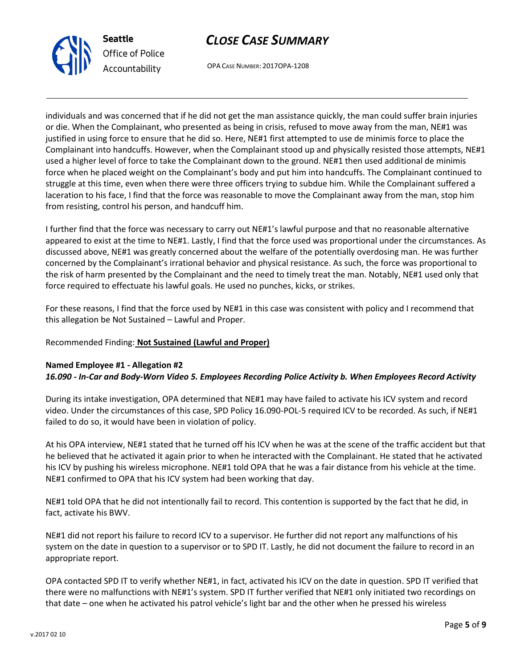



OPA CASE NUMBER: 2017OPA-1208

individuals and was concerned that if he did not get the man assistance quickly, the man could suffer brain injuries or die. When the Complainant, who presented as being in crisis, refused to move away from the man, NE#1 was justified in using force to ensure that he did so. Here, NE#1 first attempted to use de minimis force to place the Complainant into handcuffs. However, when the Complainant stood up and physically resisted those attempts, NE#1 used a higher level of force to take the Complainant down to the ground. NE#1 then used additional de minimis force when he placed weight on the Complainant's body and put him into handcuffs. The Complainant continued to struggle at this time, even when there were three officers trying to subdue him. While the Complainant suffered a laceration to his face, I find that the force was reasonable to move the Complainant away from the man, stop him from resisting, control his person, and handcuff him.

I further find that the force was necessary to carry out NE#1's lawful purpose and that no reasonable alternative appeared to exist at the time to NE#1. Lastly, I find that the force used was proportional under the circumstances. As discussed above, NE#1 was greatly concerned about the welfare of the potentially overdosing man. He was further concerned by the Complainant's irrational behavior and physical resistance. As such, the force was proportional to the risk of harm presented by the Complainant and the need to timely treat the man. Notably, NE#1 used only that force required to effectuate his lawful goals. He used no punches, kicks, or strikes.

For these reasons, I find that the force used by NE#1 in this case was consistent with policy and I recommend that this allegation be Not Sustained – Lawful and Proper.

## Recommended Finding: **Not Sustained (Lawful and Proper)**

## **Named Employee #1 - Allegation #2** *16.090 - In-Car and Body-Worn Video 5. Employees Recording Police Activity b. When Employees Record Activity*

During its intake investigation, OPA determined that NE#1 may have failed to activate his ICV system and record video. Under the circumstances of this case, SPD Policy 16.090-POL-5 required ICV to be recorded. As such, if NE#1 failed to do so, it would have been in violation of policy.

At his OPA interview, NE#1 stated that he turned off his ICV when he was at the scene of the traffic accident but that he believed that he activated it again prior to when he interacted with the Complainant. He stated that he activated his ICV by pushing his wireless microphone. NE#1 told OPA that he was a fair distance from his vehicle at the time. NE#1 confirmed to OPA that his ICV system had been working that day.

NE#1 told OPA that he did not intentionally fail to record. This contention is supported by the fact that he did, in fact, activate his BWV.

NE#1 did not report his failure to record ICV to a supervisor. He further did not report any malfunctions of his system on the date in question to a supervisor or to SPD IT. Lastly, he did not document the failure to record in an appropriate report.

OPA contacted SPD IT to verify whether NE#1, in fact, activated his ICV on the date in question. SPD IT verified that there were no malfunctions with NE#1's system. SPD IT further verified that NE#1 only initiated two recordings on that date – one when he activated his patrol vehicle's light bar and the other when he pressed his wireless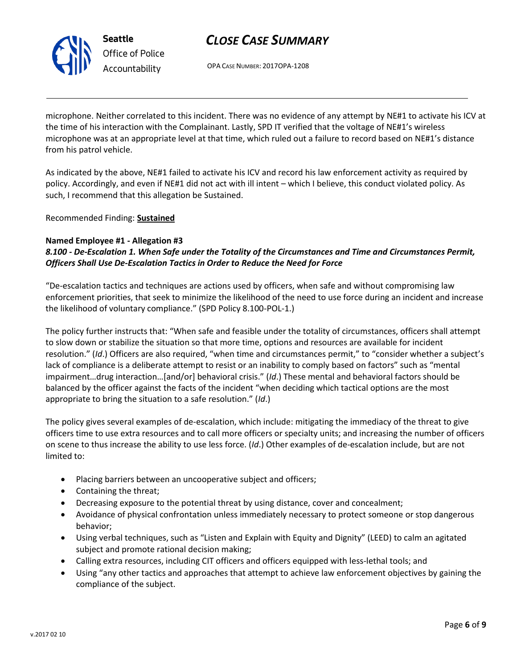

OPA CASE NUMBER: 2017OPA-1208

microphone. Neither correlated to this incident. There was no evidence of any attempt by NE#1 to activate his ICV at the time of his interaction with the Complainant. Lastly, SPD IT verified that the voltage of NE#1's wireless microphone was at an appropriate level at that time, which ruled out a failure to record based on NE#1's distance from his patrol vehicle.

As indicated by the above, NE#1 failed to activate his ICV and record his law enforcement activity as required by policy. Accordingly, and even if NE#1 did not act with ill intent – which I believe, this conduct violated policy. As such, I recommend that this allegation be Sustained.

Recommended Finding: **Sustained**

### **Named Employee #1 - Allegation #3**

*8.100 - De-Escalation 1. When Safe under the Totality of the Circumstances and Time and Circumstances Permit, Officers Shall Use De-Escalation Tactics in Order to Reduce the Need for Force*

"De-escalation tactics and techniques are actions used by officers, when safe and without compromising law enforcement priorities, that seek to minimize the likelihood of the need to use force during an incident and increase the likelihood of voluntary compliance." (SPD Policy 8.100-POL-1.)

The policy further instructs that: "When safe and feasible under the totality of circumstances, officers shall attempt to slow down or stabilize the situation so that more time, options and resources are available for incident resolution." (*Id*.) Officers are also required, "when time and circumstances permit," to "consider whether a subject's lack of compliance is a deliberate attempt to resist or an inability to comply based on factors" such as "mental impairment…drug interaction…[and/or] behavioral crisis." (*Id*.) These mental and behavioral factors should be balanced by the officer against the facts of the incident "when deciding which tactical options are the most appropriate to bring the situation to a safe resolution." (*Id*.)

The policy gives several examples of de-escalation, which include: mitigating the immediacy of the threat to give officers time to use extra resources and to call more officers or specialty units; and increasing the number of officers on scene to thus increase the ability to use less force. (*Id*.) Other examples of de-escalation include, but are not limited to:

- Placing barriers between an uncooperative subject and officers;
- Containing the threat;
- Decreasing exposure to the potential threat by using distance, cover and concealment;
- Avoidance of physical confrontation unless immediately necessary to protect someone or stop dangerous behavior;
- Using verbal techniques, such as "Listen and Explain with Equity and Dignity" (LEED) to calm an agitated subject and promote rational decision making;
- Calling extra resources, including CIT officers and officers equipped with less-lethal tools; and
- Using "any other tactics and approaches that attempt to achieve law enforcement objectives by gaining the compliance of the subject.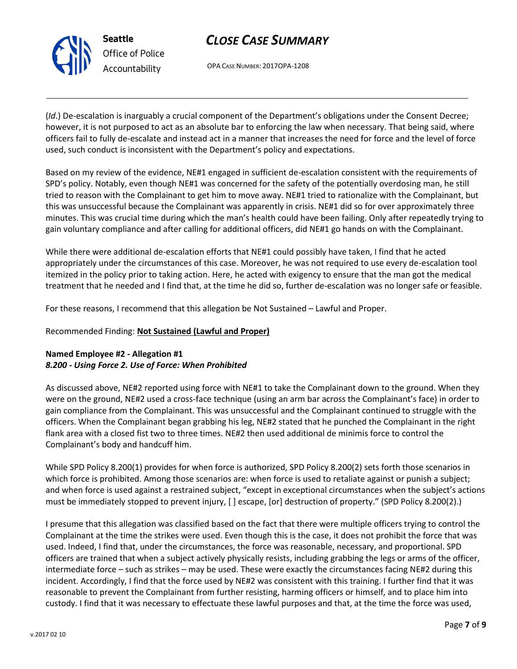

OPA CASE NUMBER: 2017OPA-1208

(*Id*.) De-escalation is inarguably a crucial component of the Department's obligations under the Consent Decree; however, it is not purposed to act as an absolute bar to enforcing the law when necessary. That being said, where officers fail to fully de-escalate and instead act in a manner that increases the need for force and the level of force used, such conduct is inconsistent with the Department's policy and expectations.

Based on my review of the evidence, NE#1 engaged in sufficient de-escalation consistent with the requirements of SPD's policy. Notably, even though NE#1 was concerned for the safety of the potentially overdosing man, he still tried to reason with the Complainant to get him to move away. NE#1 tried to rationalize with the Complainant, but this was unsuccessful because the Complainant was apparently in crisis. NE#1 did so for over approximately three minutes. This was crucial time during which the man's health could have been failing. Only after repeatedly trying to gain voluntary compliance and after calling for additional officers, did NE#1 go hands on with the Complainant.

While there were additional de-escalation efforts that NE#1 could possibly have taken, I find that he acted appropriately under the circumstances of this case. Moreover, he was not required to use every de-escalation tool itemized in the policy prior to taking action. Here, he acted with exigency to ensure that the man got the medical treatment that he needed and I find that, at the time he did so, further de-escalation was no longer safe or feasible.

For these reasons, I recommend that this allegation be Not Sustained – Lawful and Proper.

### Recommended Finding: **Not Sustained (Lawful and Proper)**

## **Named Employee #2 - Allegation #1** *8.200 - Using Force 2. Use of Force: When Prohibited*

As discussed above, NE#2 reported using force with NE#1 to take the Complainant down to the ground. When they were on the ground, NE#2 used a cross-face technique (using an arm bar across the Complainant's face) in order to gain compliance from the Complainant. This was unsuccessful and the Complainant continued to struggle with the officers. When the Complainant began grabbing his leg, NE#2 stated that he punched the Complainant in the right flank area with a closed fist two to three times. NE#2 then used additional de minimis force to control the Complainant's body and handcuff him.

While SPD Policy 8.200(1) provides for when force is authorized, SPD Policy 8.200(2) sets forth those scenarios in which force is prohibited. Among those scenarios are: when force is used to retaliate against or punish a subject; and when force is used against a restrained subject, "except in exceptional circumstances when the subject's actions must be immediately stopped to prevent injury, [ ] escape, [or] destruction of property." (SPD Policy 8.200(2).)

I presume that this allegation was classified based on the fact that there were multiple officers trying to control the Complainant at the time the strikes were used. Even though this is the case, it does not prohibit the force that was used. Indeed, I find that, under the circumstances, the force was reasonable, necessary, and proportional. SPD officers are trained that when a subject actively physically resists, including grabbing the legs or arms of the officer, intermediate force – such as strikes – may be used. These were exactly the circumstances facing NE#2 during this incident. Accordingly, I find that the force used by NE#2 was consistent with this training. I further find that it was reasonable to prevent the Complainant from further resisting, harming officers or himself, and to place him into custody. I find that it was necessary to effectuate these lawful purposes and that, at the time the force was used,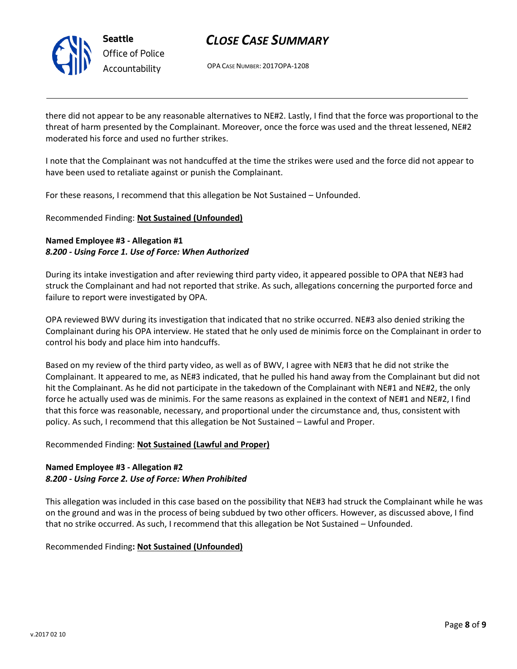

OPA CASE NUMBER: 2017OPA-1208

there did not appear to be any reasonable alternatives to NE#2. Lastly, I find that the force was proportional to the threat of harm presented by the Complainant. Moreover, once the force was used and the threat lessened, NE#2 moderated his force and used no further strikes.

I note that the Complainant was not handcuffed at the time the strikes were used and the force did not appear to have been used to retaliate against or punish the Complainant.

For these reasons, I recommend that this allegation be Not Sustained – Unfounded.

### Recommended Finding: **Not Sustained (Unfounded)**

### **Named Employee #3 - Allegation #1** *8.200 - Using Force 1. Use of Force: When Authorized*

During its intake investigation and after reviewing third party video, it appeared possible to OPA that NE#3 had struck the Complainant and had not reported that strike. As such, allegations concerning the purported force and failure to report were investigated by OPA.

OPA reviewed BWV during its investigation that indicated that no strike occurred. NE#3 also denied striking the Complainant during his OPA interview. He stated that he only used de minimis force on the Complainant in order to control his body and place him into handcuffs.

Based on my review of the third party video, as well as of BWV, I agree with NE#3 that he did not strike the Complainant. It appeared to me, as NE#3 indicated, that he pulled his hand away from the Complainant but did not hit the Complainant. As he did not participate in the takedown of the Complainant with NE#1 and NE#2, the only force he actually used was de minimis. For the same reasons as explained in the context of NE#1 and NE#2, I find that this force was reasonable, necessary, and proportional under the circumstance and, thus, consistent with policy. As such, I recommend that this allegation be Not Sustained – Lawful and Proper.

### Recommended Finding: **Not Sustained (Lawful and Proper)**

### **Named Employee #3 - Allegation #2** *8.200 - Using Force 2. Use of Force: When Prohibited*

This allegation was included in this case based on the possibility that NE#3 had struck the Complainant while he was on the ground and was in the process of being subdued by two other officers. However, as discussed above, I find that no strike occurred. As such, I recommend that this allegation be Not Sustained – Unfounded.

### Recommended Finding**: Not Sustained (Unfounded)**